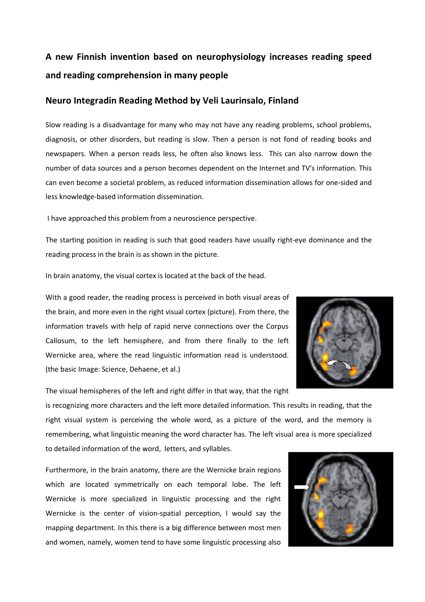# **A new Finnish invention based on neurophysiology increases reading speed and reading comprehension in many people**

## **Neuro Integradin Reading Method by Veli Laurinsalo, Finland**

Slow reading is a disadvantage for many who may not have any reading problems, school problems, diagnosis, or other disorders, but reading is slow. Then a person is not fond of reading books and newspapers. When a person reads less, he often also knows less. This can also narrow down the number of data sources and a person becomes dependent on the Internet and TV's information. This can even become a societal problem, as reduced information dissemination allows for one-sided and less knowledge-based information dissemination.

I have approached this problem from a neuroscience perspective.

The starting position in reading is such that good readers have usually right-eye dominance and the reading process in the brain is as shown in the picture.

In brain anatomy, the visual cortex is located at the back of the head.

With a good reader, the reading process is perceived in both visual areas of the brain, and more even in the right visual cortex (picture). From there, the information travels with help of rapid nerve connections over the Corpus Callosum, to the left hemisphere, and from there finally to the left Wernicke area, where the read linguistic information read is understood. (the basic Image: Science, Dehaene, et al.)



The visual hemispheres of the left and right differ in that way, that the right

is recognizing more characters and the left more detailed information. This results in reading, that the right visual system is perceiving the whole word, as a picture of the word, and the memory is remembering, what linguistic meaning the word character has. The left visual area is more specialized to detailed information of the word, letters, and syllables.

Furthermore, in the brain anatomy, there are the Wernicke brain regions which are located symmetrically on each temporal lobe. The left Wernicke is more specialized in linguistic processing and the right Wernicke is the center of vision-spatial perception, I would say the mapping department. In this there is a big difference between most men and women, namely, women tend to have some linguistic processing also

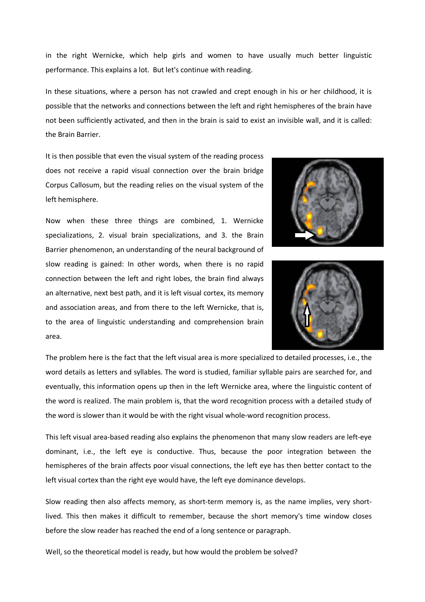in the right Wernicke, which help girls and women to have usually much better linguistic performance. This explains a lot. But let's continue with reading.

In these situations, where a person has not crawled and crept enough in his or her childhood, it is possible that the networks and connections between the left and right hemispheres of the brain have not been sufficiently activated, and then in the brain is said to exist an invisible wall, and it is called: the Brain Barrier.

It is then possible that even the visual system of the reading process does not receive a rapid visual connection over the brain bridge Corpus Callosum, but the reading relies on the visual system of the left hemisphere.

Now when these three things are combined, 1. Wernicke specializations, 2. visual brain specializations, and 3. the Brain Barrier phenomenon, an understanding of the neural background of slow reading is gained: In other words, when there is no rapid connection between the left and right lobes, the brain find always an alternative, next best path, and it is left visual cortex, its memory and association areas, and from there to the left Wernicke, that is, to the area of linguistic understanding and comprehension brain area.





The problem here is the fact that the left visual area is more specialized to detailed processes, i.e., the word details as letters and syllables. The word is studied, familiar syllable pairs are searched for, and eventually, this information opens up then in the left Wernicke area, where the linguistic content of the word is realized. The main problem is, that the word recognition process with a detailed study of the word is slower than it would be with the right visual whole-word recognition process.

This left visual area-based reading also explains the phenomenon that many slow readers are left-eye dominant, i.e., the left eye is conductive. Thus, because the poor integration between the hemispheres of the brain affects poor visual connections, the left eye has then better contact to the left visual cortex than the right eye would have, the left eye dominance develops.

Slow reading then also affects memory, as short-term memory is, as the name implies, very shortlived. This then makes it difficult to remember, because the short memory's time window closes before the slow reader has reached the end of a long sentence or paragraph.

Well, so the theoretical model is ready, but how would the problem be solved?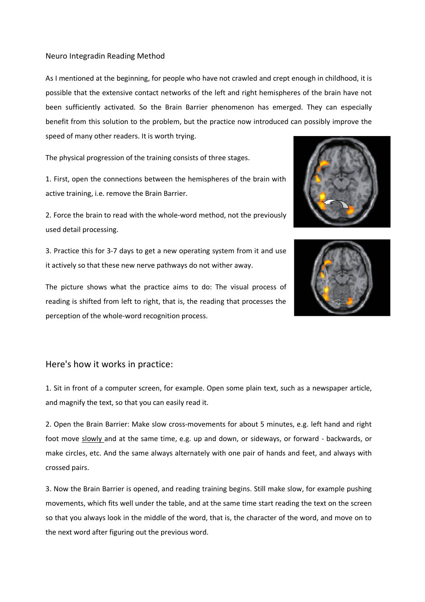#### Neuro Integradin Reading Method

As I mentioned at the beginning, for people who have not crawled and crept enough in childhood, it is possible that the extensive contact networks of the left and right hemispheres of the brain have not been sufficiently activated. So the Brain Barrier phenomenon has emerged. They can especially benefit from this solution to the problem, but the practice now introduced can possibly improve the speed of many other readers. It is worth trying.

The physical progression of the training consists of three stages.

1. First, open the connections between the hemispheres of the brain with active training, i.e. remove the Brain Barrier.

2. Force the brain to read with the whole-word method, not the previously used detail processing.

3. Practice this for 3-7 days to get a new operating system from it and use it actively so that these new nerve pathways do not wither away.

The picture shows what the practice aims to do: The visual process of reading is shifted from left to right, that is, the reading that processes the perception of the whole-word recognition process.





### Here's how it works in practice:

1. Sit in front of a computer screen, for example. Open some plain text, such as a newspaper article, and magnify the text, so that you can easily read it.

2. Open the Brain Barrier: Make slow cross-movements for about 5 minutes, e.g. left hand and right foot move slowly and at the same time, e.g. up and down, or sideways, or forward - backwards, or make circles, etc. And the same always alternately with one pair of hands and feet, and always with crossed pairs.

3. Now the Brain Barrier is opened, and reading training begins. Still make slow, for example pushing movements, which fits well under the table, and at the same time start reading the text on the screen so that you always look in the middle of the word, that is, the character of the word, and move on to the next word after figuring out the previous word.